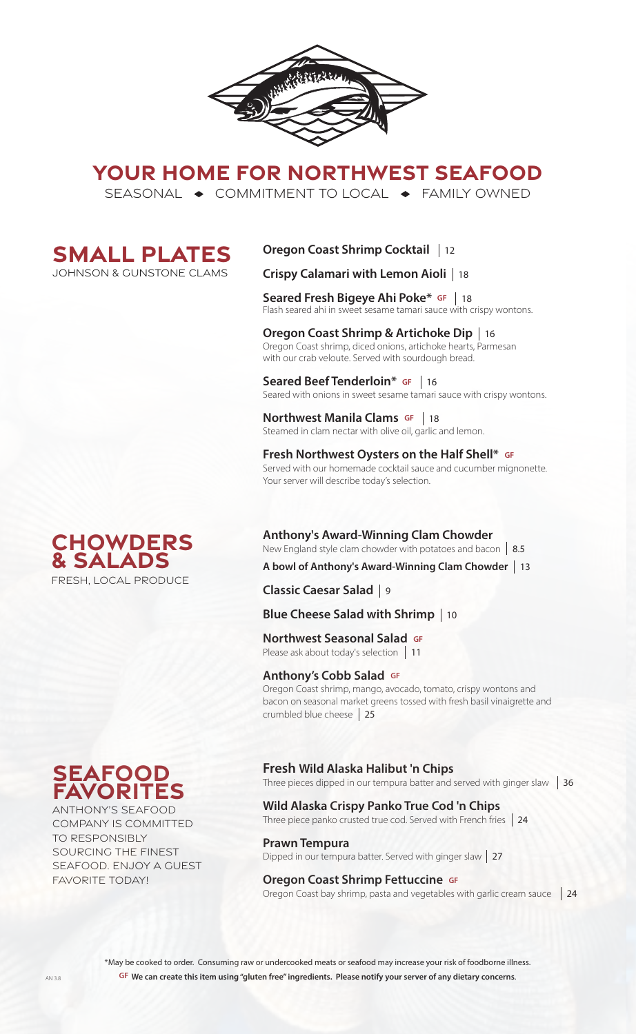

## **YOUR HOME FOR NORTHWEST SEAFOOD**

SEASONAL  $\rightarrow$  COMMITMENT TO LOCAL  $\rightarrow$  FAMILY OWNED



## **Oregon Coast Shrimp Cocktail**  12

## **Crispy Calamari with Lemon Aioli**  18

**Seared Fresh Bigeye Ahi Poke\* GF** 18 **Seared Tresh bigeye Ani FORE** SITT To<br>Flash seared ahi in sweet sesame tamari sauce with crispy wontons.

**Oregon Coast Shrimp & Artichoke Dip**  16 Oregon Coast shrimp, diced onions, artichoke hearts, Parmesan with our crab veloute. Served with sourdough bread.

**Seared Beef Tenderloin\* GF** 16  Seared with onions in sweet sesame tamari sauce with crispy wontons.

**Northwest Manila Clams GF** | 18 **NOT LITWEST MATTING CIATTIS** SIT | TO<br>Steamed in clam nectar with olive oil, garlic and lemon.

**Fresh Northwest Oysters on the Half Shell\* GF** Served with our homemade cocktail sauce and cucumber mignonette. Your server will describe today's selection.



## **Anthony's Award-Winning Clam Chowder**

New England style clam chowder with potatoes and bacon 8.5

**A bowl of Anthony's Award-Winning Clam Chowder**  13

**Classic Caesar Salad**  9

## **Blue Cheese Salad with Shrimp**  10

### **Northwest Seasonal Salad GF**

**TOT CHWEST SEASOTIAL SATAGE SI**<br>Please ask about today's selection | 11

### **Anthony's Cobb Salad GF**

Oregon Coast shrimp, mango, avocado, tomato, crispy wontons and bacon on seasonal market greens tossed with fresh basil vinaigrette and crumbled blue cheese 25

## **Fresh Wild Alaska Halibut 'n Chips**

Three pieces dipped in our tempura batter and served with ginger slaw  $\parallel$  36

### **Wild Alaska Crispy Panko True Cod 'n Chips** Three piece panko crusted true cod. Served with French fries 24

**Prawn Tempura**<br>Dipped in our tempura batter. Served with ginger slaw | 27

## **Oregon Coast Shrimp Fettuccine GF**

Oregon Coast bay shrimp, pasta and vegetables with garlic cream sauce 24

\*May be cooked to order. Consuming raw or undercooked meats or seafood may increase your risk of foodborne illness. **GF We can create this item using "gluten free" ingredients. Please notify your server of any dietary concerns**.



ANTHONY'S SEAFOOD COMPANY IS COMMITTED TO RESPONSIBLY SOURCING THE FINEST SEAFOOD. ENJOY A GUEST FAVORITE TODAY!